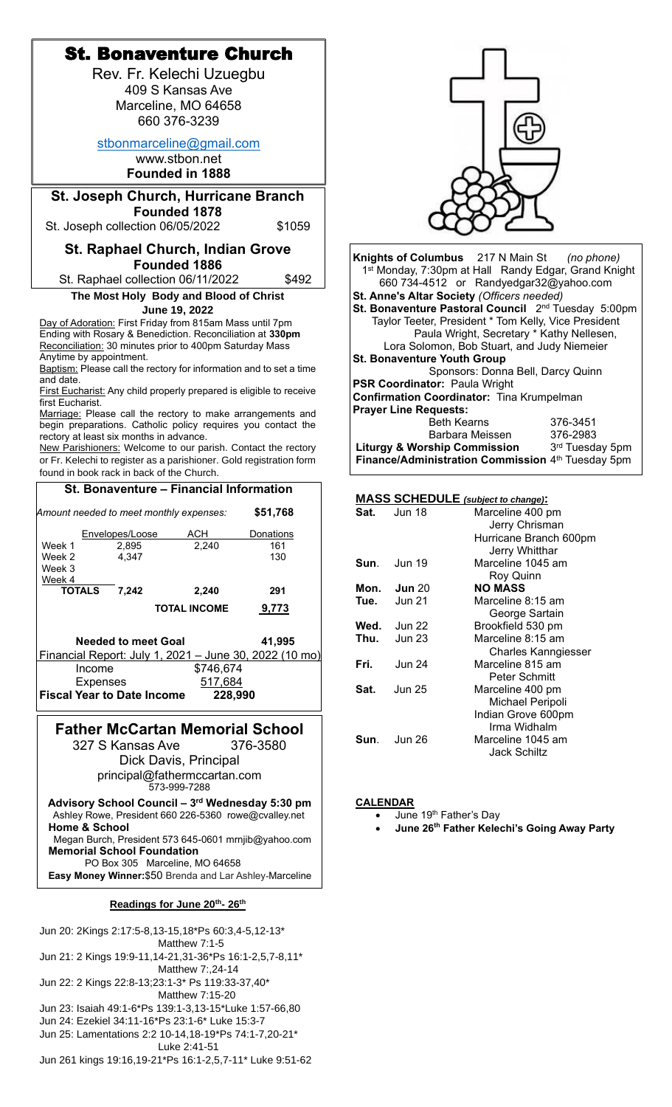| <b>St. Bonaventure Church</b>                                                                                              |                                                                                                   |
|----------------------------------------------------------------------------------------------------------------------------|---------------------------------------------------------------------------------------------------|
| Rev. Fr. Kelechi Uzuegbu                                                                                                   |                                                                                                   |
|                                                                                                                            |                                                                                                   |
| 409 S Kansas Ave                                                                                                           |                                                                                                   |
| Marceline, MO 64658                                                                                                        |                                                                                                   |
| 660 376-3239                                                                                                               |                                                                                                   |
| stbonmarceline@gmail.com                                                                                                   |                                                                                                   |
| www.stbon.net                                                                                                              |                                                                                                   |
| <b>Founded in 1888</b>                                                                                                     |                                                                                                   |
| <b>St. Joseph Church, Hurricane Branch</b>                                                                                 |                                                                                                   |
| Founded 1878                                                                                                               |                                                                                                   |
| \$1059<br>St. Joseph collection 06/05/2022                                                                                 |                                                                                                   |
|                                                                                                                            |                                                                                                   |
| <b>St. Raphael Church, Indian Grove</b>                                                                                    | Knights of Columbus 217 N Main St<br>(no phone)                                                   |
| <b>Founded 1886</b>                                                                                                        | 1 <sup>st</sup> Monday, 7:30pm at Hall Randy Edgar, Grand Knight                                  |
| St. Raphael collection 06/11/2022<br>\$492                                                                                 | 660 734-4512 or Randyedgar32@yahoo.com                                                            |
| The Most Holy Body and Blood of Christ                                                                                     | St. Anne's Altar Society (Officers needed)                                                        |
| June 19, 2022                                                                                                              | St. Bonaventure Pastoral Council 2 <sup>nd</sup> Tuesday 5:00pm                                   |
| Day of Adoration: First Friday from 815am Mass until 7pm<br>Ending with Rosary & Benediction. Reconciliation at 330pm      | Taylor Teeter, President * Tom Kelly, Vice President<br>Paula Wright, Secretary * Kathy Nellesen, |
| Reconciliation: 30 minutes prior to 400pm Saturday Mass                                                                    | Lora Solomon, Bob Stuart, and Judy Niemeier                                                       |
| Anytime by appointment.                                                                                                    | <b>St. Bonaventure Youth Group</b>                                                                |
| Baptism: Please call the rectory for information and to set a time<br>and date.                                            | Sponsors: Donna Bell, Darcy Quinn                                                                 |
| First Eucharist: Any child properly prepared is eligible to receive                                                        | PSR Coordinator: Paula Wright                                                                     |
| first Eucharist.                                                                                                           | Confirmation Coordinator: Tina Krumpelman<br><b>Prayer Line Requests:</b>                         |
| Marriage: Please call the rectory to make arrangements and<br>begin preparations. Catholic policy requires you contact the | <b>Beth Kearns</b><br>376-3451                                                                    |
| rectory at least six months in advance.                                                                                    | Barbara Meissen<br>376-2983                                                                       |
| New Parishioners: Welcome to our parish. Contact the rectory                                                               | <b>Liturgy &amp; Worship Commission</b><br>3rd Tuesday 5pm                                        |
| or Fr. Kelechi to register as a parishioner. Gold registration form<br>found in book rack in back of the Church.           | Finance/Administration Commission 4th Tuesday 5pm                                                 |
|                                                                                                                            |                                                                                                   |
| St. Bonaventure - Financial Information                                                                                    | <b>MASS SCHEDULE</b> (subject to change):                                                         |
| \$51,768<br>Amount needed to meet monthly expenses:                                                                        | <b>Jun 18</b><br>Sat.<br>Marceline 400 pm                                                         |
|                                                                                                                            | Jerry Chrisman                                                                                    |
| Envelopes/Loose<br>ACH<br><b>Donations</b><br>2,895<br>2,240<br>161<br>Week 1                                              | Hurricane Branch 600pm                                                                            |
| 4,347<br>130<br>Week 2                                                                                                     | Jerry Whitthar<br><b>Jun 19</b><br>Marceline 1045 am<br>Sun.                                      |
| Week 3                                                                                                                     | Roy Quinn                                                                                         |
| Week 4<br><b>TOTALS</b><br>7,242<br>2,240<br>291                                                                           | <b>Jun 20</b><br><b>NO MASS</b><br>Mon.                                                           |
| <b>TOTAL INCOME</b><br>9,773                                                                                               | Tue.<br><b>Jun 21</b><br>Marceline 8:15 am                                                        |
|                                                                                                                            | George Sartain                                                                                    |
| <b>Needed to meet Goal</b><br>41,995                                                                                       | <b>Jun 22</b><br>Brookfield 530 pm<br>Wed.<br>Marceline 8:15 am<br>Thu.<br><b>Jun 23</b>          |
| Financial Report: July 1, 2021 - June 30, 2022 (10 mo)                                                                     | <b>Charles Kanngiesser</b>                                                                        |
| \$746,674<br>Income                                                                                                        | Fri.<br><b>Jun 24</b><br>Marceline 815 am                                                         |
| <b>Expenses</b><br>517,684                                                                                                 | Peter Schmitt                                                                                     |
| <b>Fiscal Year to Date Income</b><br>228,990                                                                               | <b>Jun 25</b><br>Sat.<br>Marceline 400 pm<br>Michael Peripoli                                     |
|                                                                                                                            | Indian Grove 600pm                                                                                |
| <b>Father McCartan Memorial School</b>                                                                                     | Irma Widhalm                                                                                      |
| 327 S Kansas Ave<br>376-3580                                                                                               | Sun.<br><b>Jun 26</b><br>Marceline 1045 am                                                        |
| Dick Davis, Principal                                                                                                      | <b>Jack Schiltz</b>                                                                               |
| principal@fathermccartan.com                                                                                               |                                                                                                   |
| 573-999-7288                                                                                                               |                                                                                                   |
| Advisory School Council - 3rd Wednesday 5:30 pm                                                                            | <b>CALENDAR</b>                                                                                   |
| Ashley Rowe, President 660 226-5360 rowe@cvalley.net                                                                       | June 19 <sup>th</sup> Father's Day                                                                |
| <b>Home &amp; School</b><br>Megan Burch, President 573 645-0601 mrnjib@yahoo.com                                           | June 26th Father Kelechi's Going Away Party                                                       |
| <b>Memorial School Foundation</b>                                                                                          |                                                                                                   |
| PO Box 305 Marceline, MO 64658                                                                                             |                                                                                                   |
| Easy Money Winner: \$50 Brenda and Lar Ashley-Marceline                                                                    |                                                                                                   |
| Readings for June 20th- 26th                                                                                               |                                                                                                   |
| Jun 20: 2Kings 2:17:5-8,13-15,18*Ps 60:3,4-5,12-13*                                                                        |                                                                                                   |
| Matthew 7:1-5                                                                                                              |                                                                                                   |
| Jun 21: 2 Kings 19:9-11,14-21,31-36*Ps 16:1-2,5,7-8,11*<br>Matthew 7:, 24-14                                               |                                                                                                   |
| Jun 22: 2 Kings 22:8-13;23:1-3* Ps 119:33-37,40*                                                                           |                                                                                                   |
| Matthew 7:15-20                                                                                                            |                                                                                                   |

Jun 23: Isaiah 49:1-6\*Ps 139:1-3,13-15\*Luke 1:57-66,80 Jun 24: Ezekiel 34:11-16\*Ps 23:1-6\* Luke 15:3-7 Jun 25: Lamentations 2:2 10-14,18-19\*Ps 74:1-7,20-21\*

Luke 2:41-51 Jun 261 kings 19:16,19-21\*Ps 16:1-2,5,7-11\* Luke 9:51-62